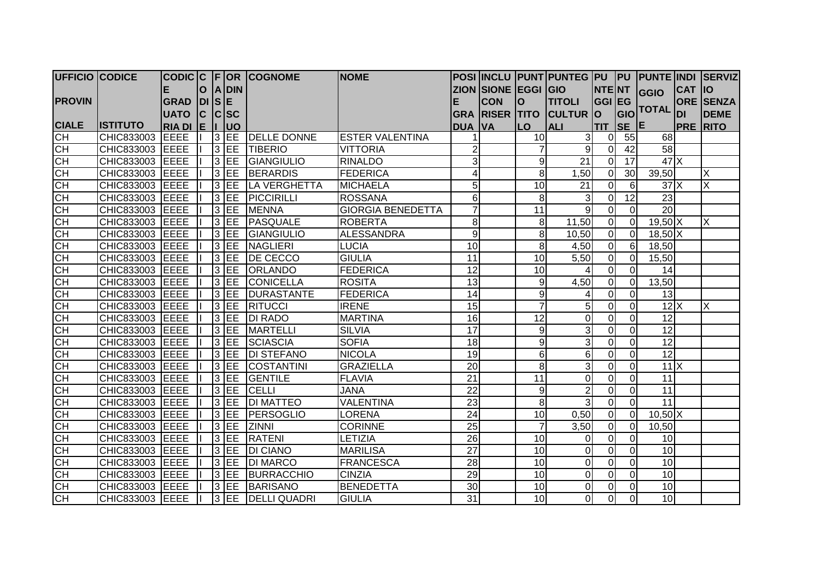| <b>UFFICIO CODICE</b> |                   |               |              |   |            | CODIC C F OR COGNOME | <b>NOME</b>              |                 |                     |                 | POSI  INCLU  PUNT PUNTEG  PU    PU   PUNTE  INDI   SERVIZ |                |                   |                                        |               |                  |
|-----------------------|-------------------|---------------|--------------|---|------------|----------------------|--------------------------|-----------------|---------------------|-----------------|-----------------------------------------------------------|----------------|-------------------|----------------------------------------|---------------|------------------|
|                       |                   | Е             | O            |   | A DIN      |                      |                          |                 | ZION SIONE EGGI GIO |                 |                                                           | <b>NTENT</b>   |                   | <b>GGIO</b>                            | <b>CAT 10</b> |                  |
| <b>PROVIN</b>         |                   | <b>GRAD</b>   | $DI$ $S$ $E$ |   |            |                      |                          |                 | <b>CON</b>          | $\mathbf{O}$    | <b>TITOLI</b>                                             | <b>GGI EG</b>  |                   |                                        |               | <b>ORE SENZA</b> |
|                       |                   | <b>UATO</b>   | Iс           |   | C SC       |                      |                          | <b>GRA</b>      | <b>RISER</b>        | <b>TITO</b>     | <b>CULTUR</b>                                             | lo             | GIO               | <b>TOTAL</b>                           | <b>DI</b>     | <b>DEME</b>      |
| <b>CIALE</b>          | <b>IISTITUTO</b>  | <b>RIA DI</b> | le In        |   | luo        |                      |                          | <b>DUA</b>      | <b>VA</b>           | <b>LO</b>       | <b>ALI</b>                                                | <b>TIT</b>     | $SE$ <sup>E</sup> |                                        |               | <b>PRE RITO</b>  |
| CH                    | CHIC833003        | <b>EEEE</b>   |              |   | $3$ EE     | <b>DELLE DONNE</b>   | <b>ESTER VALENTINA</b>   |                 |                     | 10              | 3                                                         | $\Omega$       | 55                | 68                                     |               |                  |
| СH                    | CHIC833003        | <b>EEEE</b>   |              |   | $3$ EE     | <b>TIBERIO</b>       | <b>VITTORIA</b>          | $\overline{2}$  |                     | 7               | $\overline{9}$                                            | $\Omega$       | 42                | $\overline{58}$                        |               |                  |
| <b>CH</b>             | CHIC833003        | <b>EEEE</b>   |              |   | $3$ EE     | GIANGIULIO           | <b>RINALDO</b>           | $\overline{3}$  |                     | 9               | 21                                                        | $\Omega$       | 17                | $47$ $\times$                          |               |                  |
| <b>CH</b>             | CHIC833003        | EEEE          |              | 3 | <b>IEE</b> | BERARDIS             | <b>FEDERICA</b>          |                 |                     | 8               | 1,50                                                      | $\mathbf 0$    | 30                | 39,50                                  |               | Х                |
| СH                    | CHIC833003        | <b>EEEE</b>   |              |   | $3$ EE     | LA VERGHETTA         | <b>MICHAELA</b>          | 5 <sup>1</sup>  |                     | $\overline{10}$ | 21                                                        | $\Omega$       | 6                 | 37X                                    |               | X                |
| СH                    | CHIC833003        | <b>EEEE</b>   |              |   | $3$ EE     | PICCIRILLI           | <b>ROSSANA</b>           | 6 <sup>1</sup>  |                     | 8               | 3                                                         | $\Omega$       | 12                | 23                                     |               |                  |
| $\overline{CH}$       | CHIC833003        | EEEE          |              |   | $3$ EE     | <b>MENNA</b>         | <b>GIORGIA BENEDETTA</b> | $\overline{7}$  |                     | 11              | 9                                                         | 0              | $\Omega$          | 20                                     |               |                  |
| $\overline{C}$ H      | CHIC833003        | <b>EEEE</b>   |              |   | $3$ EE     | PASQUALE             | <b>ROBERTA</b>           | 8 <sup>1</sup>  |                     | 8               | 11,50                                                     | 0              | $\Omega$          | $19,50$ X                              |               | X                |
| <b>CH</b>             | CHIC833003        | <b>EEEE</b>   |              |   | $3$ EE     | GIANGIULIO           | <b>ALESSANDRA</b>        | $\overline{9}$  |                     | 8               | 10,50                                                     | $\Omega$       | $\Omega$          | $18,50\overline{\text{X}}$             |               |                  |
| CH                    | CHIC833003        | EEEE          |              |   | $3$ EE     | NAGLIERI             | <b>LUCIA</b>             | 10              |                     | 8               | 4,50                                                      | $\Omega$       | 6                 | 18,50                                  |               |                  |
| CH                    | CHIC833003        | EEEE          |              |   | $3$ EE     | <b>DE CECCO</b>      | <b>GIULIA</b>            | 11              |                     | 10              | 5,50                                                      | $\Omega$       | $\Omega$          | 15,50                                  |               |                  |
| Е                     | CHIC833003        | <b>EEEE</b>   |              |   | $3$ EE     | <b>ORLANDO</b>       | <b>FEDERICA</b>          | 12              |                     | 10              |                                                           | $\Omega$       | $\Omega$          | 14                                     |               |                  |
| H                     | CHIC833003        | <b>IEEEE</b>  |              |   | $3$ EE     | <b>CONICELLA</b>     | <b>ROSITA</b>            | 13              |                     | 9               | 4,50                                                      | $\Omega$       | $\Omega$          | 13,50                                  |               |                  |
| CH                    | CHIC833003 EEEE   |               |              |   |            | 3 EE DURASTANTE      | FEDERICA                 | 14              |                     | 9               |                                                           | $\Omega$       | $\overline{0}$    | 13                                     |               |                  |
| СH                    | CHIC833003 EEEE   |               |              |   |            | 3 EE RITUCCI         | <b>IRENE</b>             | 15              |                     | $\overline{7}$  | 5                                                         | $\overline{0}$ | $\overline{0}$    | $12\overline{\phantom{a}}$             |               | IX.              |
| CH                    | CHIC833003 EEEE   |               |              |   | $3$ EE     | <b>DI RADO</b>       | <b>MARTINA</b>           | 16              |                     | 12              | 0                                                         | $\Omega$       | $\overline{0}$    | 12                                     |               |                  |
| CH                    | CHIC833003 EEEE   |               |              |   | $3$ EE     | <b>MARTELLI</b>      | <b>SILVIA</b>            | 17              |                     | 9               | 3                                                         | 0              | $\Omega$          | 12                                     |               |                  |
| СH                    | CHIC833003        | <b>IEEEE</b>  |              |   | $3$ EE     | <b>SCIASCIA</b>      | <b>SOFIA</b>             | 18              |                     | 9               | $\overline{3}$                                            | $\Omega$       | $\Omega$          | 12                                     |               |                  |
| CH                    | CHIC833003        | EEEE          |              |   | $3$ EE     | <b>DI STEFANO</b>    | <b>NICOLA</b>            | 19              |                     | $6 \mid$        | 6 <sup>1</sup>                                            | 0              | $\overline{0}$    | $\overline{12}$                        |               |                  |
| 동풍                    | CHIC833003 EEEE   |               |              |   | $3$ EE     | <b>COSTANTINI</b>    | <b>GRAZIELLA</b>         | 20              |                     | 8               | 3                                                         | $\Omega$       | $\Omega$          | $11$ $\overline{\phantom{1}}$ $\times$ |               |                  |
|                       | CHIC833003 EEEE   |               |              |   | $3$ EE     | GENTILE              | <b>FLAVIA</b>            | $\overline{21}$ |                     | 11              | $\overline{0}$                                            | $\Omega$       | $\overline{0}$    | 11                                     |               |                  |
| $\overline{C}$ H      | CHIC833003        | <b>IEEEE</b>  |              |   | $3$ EE     | CELLI                | <b>JANA</b>              | 22              |                     | 9               | $\overline{2}$                                            | $\Omega$       | $\Omega$          | 11                                     |               |                  |
| CH                    | CHIC833003        | EEEE          |              | 3 | <b>EE</b>  | <b>DI MATTEO</b>     | <b>VALENTINA</b>         | 23              |                     | 8               | 3                                                         | $\Omega$       | $\Omega$          | $\overline{11}$                        |               |                  |
| Е                     | CHIC833003        | EEEE          |              | 3 | <b>IEE</b> | PERSOGLIO            | <b>LORENA</b>            | 24              |                     | 10 <sub>1</sub> | 0,50                                                      | $\overline{0}$ | $\Omega$          | $10,50$ X                              |               |                  |
| Е                     | CHIC833003        | EEEE          |              |   | $3$ EE     | <b>ZINNI</b>         | <b>CORINNE</b>           | 25              |                     | $\overline{7}$  | 3,50                                                      | $\overline{0}$ | $\Omega$          | 10,50                                  |               |                  |
| Е                     | CHIC833003        | EEEE          |              |   | $3$ EE     | <b>RATENI</b>        | <b>LETIZIA</b>           | 26              |                     | 10              | 0                                                         | $\overline{0}$ | $\Omega$          | 10                                     |               |                  |
| <b>CH</b>             | CHIC833003        | <b>JEEEE</b>  |              |   | $3$ EE     | <b>DI CIANO</b>      | <b>MARILISA</b>          | 27              |                     | 10              | 0                                                         | $\Omega$       | $\Omega$          | 10                                     |               |                  |
| СH                    | CHIC833003        | <b>IEEEE</b>  |              |   | $3$ EE     | <b>DI MARCO</b>      | <b>FRANCESCA</b>         | $\overline{28}$ |                     | 10              | $\overline{0}$                                            | $\Omega$       | $\Omega$          | 10                                     |               |                  |
| <b>CH</b>             | CHIC833003        | EEEE          |              |   | $3$ EE     | BURRACCHIO           | <b>CINZIA</b>            | 29              |                     | 10              | $\overline{0}$                                            | $\overline{0}$ | $\overline{0}$    | 10                                     |               |                  |
| CH                    | CHIC833003        | EEEE          |              |   | $3$ EE     | BARISANO             | <b>BENEDETTA</b>         | 30              |                     | 10              | 0                                                         | 0              | $\Omega$          | 10                                     |               |                  |
| CH                    | CHIC833003   EEEE |               |              |   |            | 3 EE DELLI QUADRI    | <b>GIULIA</b>            | 31              |                     | 10 <sup>1</sup> | $\overline{0}$                                            | $\overline{0}$ | $\overline{0}$    | 10                                     |               |                  |